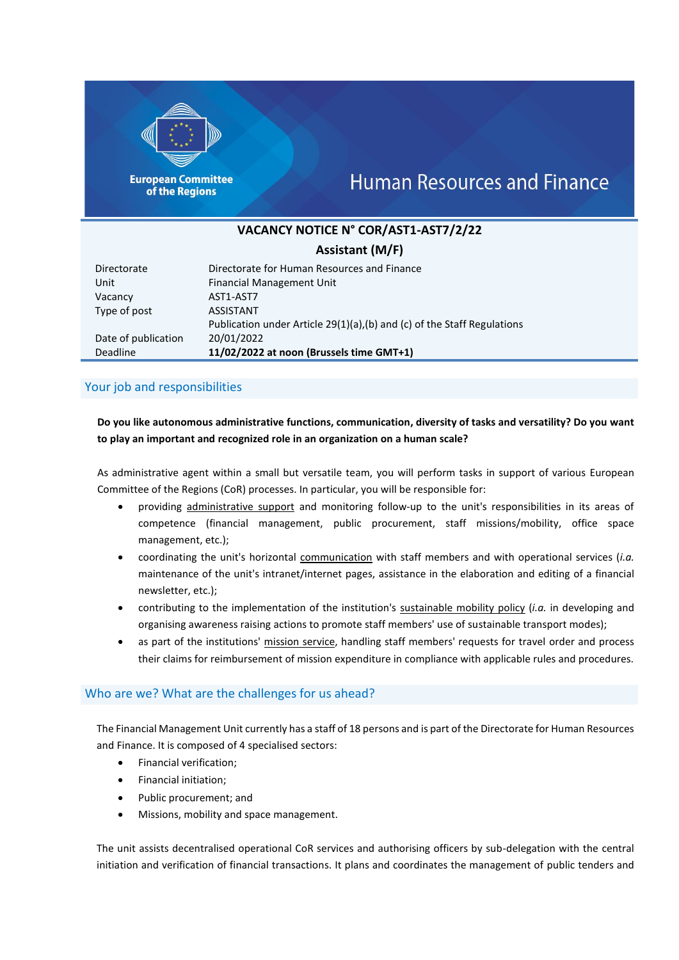

**European Committee** of the Regions

# **Human Resources and Finance**

# **VACANCY NOTICE N° COR/AST1-AST7/2/22**

# **Assistant (M/F)**

| Directorate         | Directorate for Human Resources and Finance                             |
|---------------------|-------------------------------------------------------------------------|
| Unit                | <b>Financial Management Unit</b>                                        |
| Vacancy             | AST1-AST7                                                               |
| Type of post        | <b>ASSISTANT</b>                                                        |
|                     | Publication under Article 29(1)(a),(b) and (c) of the Staff Regulations |
| Date of publication | 20/01/2022                                                              |
| Deadline            | 11/02/2022 at noon (Brussels time GMT+1)                                |

### Your job and responsibilities

## **Do you like autonomous administrative functions, communication, diversity of tasks and versatility? Do you want to play an important and recognized role in an organization on a human scale?**

As administrative agent within a small but versatile team, you will perform tasks in support of various European Committee of the Regions (CoR) processes. In particular, you will be responsible for:

- providing administrative support and monitoring follow-up to the unit's responsibilities in its areas of competence (financial management, public procurement, staff missions/mobility, office space management, etc.);
- coordinating the unit's horizontal communication with staff members and with operational services (*i.a.* maintenance of the unit's intranet/internet pages, assistance in the elaboration and editing of a financial newsletter, etc.);
- contributing to the implementation of the institution's sustainable mobility policy (*i.a.* in developing and organising awareness raising actions to promote staff members' use of sustainable transport modes);
- as part of the institutions' mission service, handling staff members' requests for travel order and process their claims for reimbursement of mission expenditure in compliance with applicable rules and procedures.

#### Who are we? What are the challenges for us ahead?

The Financial Management Unit currently has a staff of 18 persons and is part of the Directorate for Human Resources and Finance. It is composed of 4 specialised sectors:

- Financial verification;
- Financial initiation;
- Public procurement; and
- Missions, mobility and space management.

The unit assists decentralised operational CoR services and authorising officers by sub-delegation with the central initiation and verification of financial transactions. It plans and coordinates the management of public tenders and